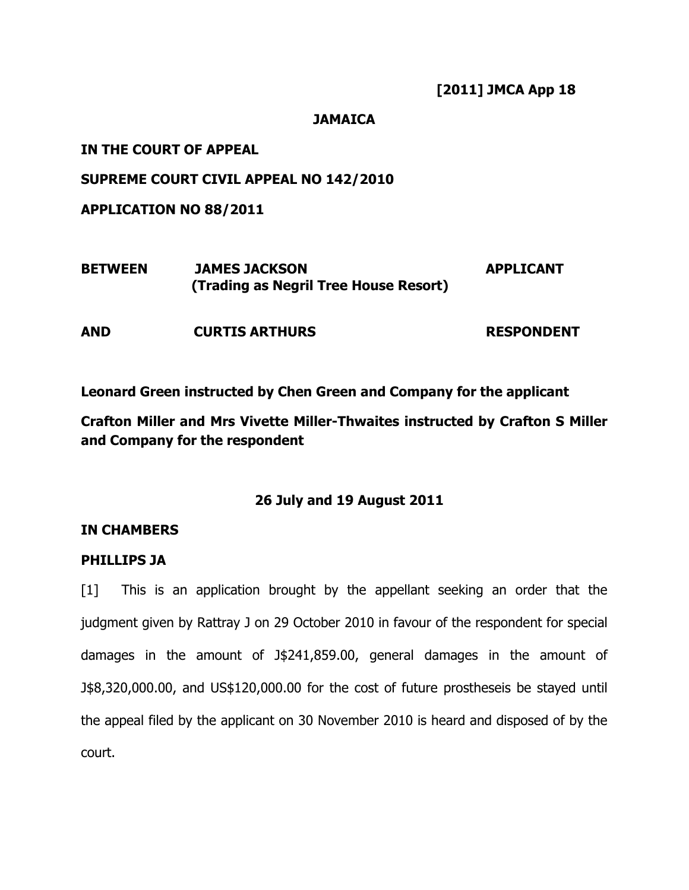[2011] JMCA App 18

# **JAMAICA**

IN THE COURT OF APPEAL

SUPREME COURT CIVIL APPEAL NO 142/2010

APPLICATION NO 88/2011

| <b>BETWEEN</b> | <b>JAMES JACKSON</b>                  | <b>APPLICANT</b> |
|----------------|---------------------------------------|------------------|
|                | (Trading as Negril Tree House Resort) |                  |

AND CURTIS ARTHURS RESPONDENT

Leonard Green instructed by Chen Green and Company for the applicant

Crafton Miller and Mrs Vivette Miller-Thwaites instructed by Crafton S Miller and Company for the respondent

26 July and 19 August 2011

# IN CHAMBERS

# PHILLIPS JA

[1] This is an application brought by the appellant seeking an order that the judgment given by Rattray J on 29 October 2010 in favour of the respondent for special damages in the amount of J\$241,859.00, general damages in the amount of J\$8,320,000.00, and US\$120,000.00 for the cost of future prostheseis be stayed until the appeal filed by the applicant on 30 November 2010 is heard and disposed of by the court.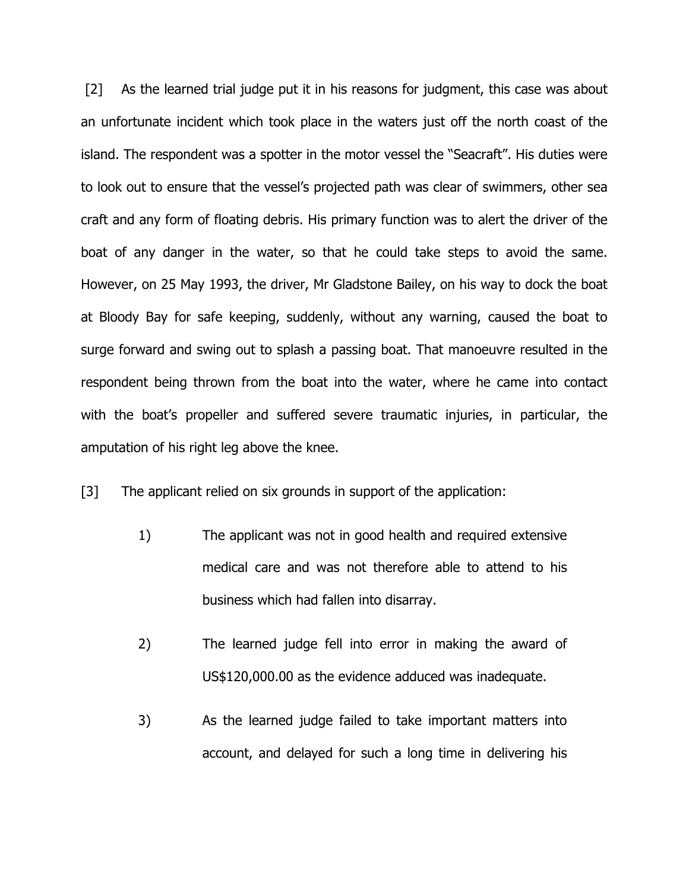[2] As the learned trial judge put it in his reasons for judgment, this case was about an unfortunate incident which took place in the waters just off the north coast of the island. The respondent was a spotter in the motor vessel the "Seacraft". His duties were to look out to ensure that the vessel's projected path was clear of swimmers, other sea craft and any form of floating debris. His primary function was to alert the driver of the boat of any danger in the water, so that he could take steps to avoid the same. However, on 25 May 1993, the driver, Mr Gladstone Bailey, on his way to dock the boat at Bloody Bay for safe keeping, suddenly, without any warning, caused the boat to surge forward and swing out to splash a passing boat. That manoeuvre resulted in the respondent being thrown from the boat into the water, where he came into contact with the boat's propeller and suffered severe traumatic injuries, in particular, the amputation of his right leg above the knee.

[3] The applicant relied on six grounds in support of the application:

- 1) The applicant was not in good health and required extensive medical care and was not therefore able to attend to his business which had fallen into disarray.
- 2) The learned judge fell into error in making the award of US\$120,000.00 as the evidence adduced was inadequate.
- 3) As the learned judge failed to take important matters into account, and delayed for such a long time in delivering his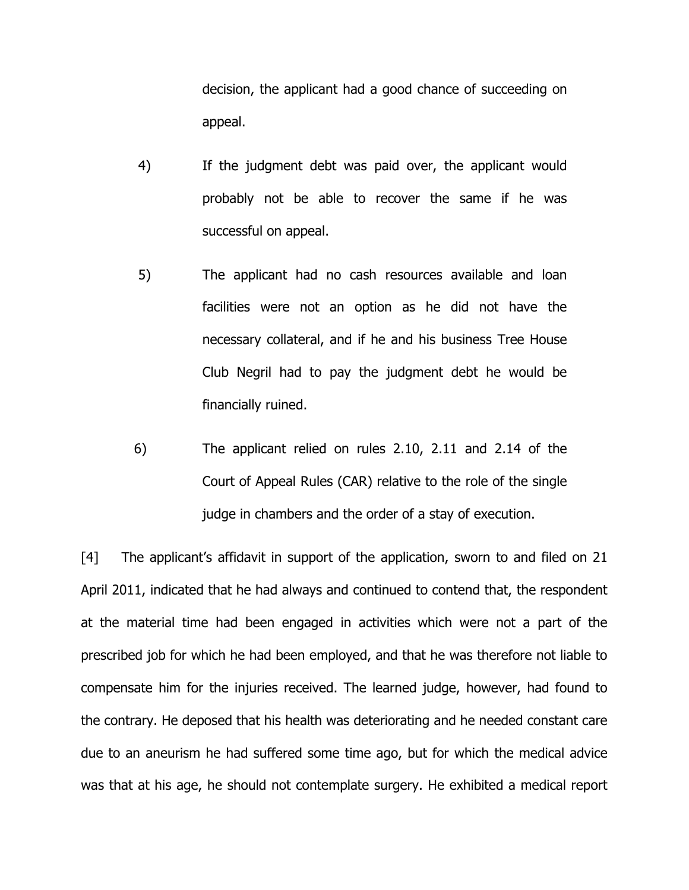decision, the applicant had a good chance of succeeding on appeal.

- 4) If the judgment debt was paid over, the applicant would probably not be able to recover the same if he was successful on appeal.
- 5) The applicant had no cash resources available and loan facilities were not an option as he did not have the necessary collateral, and if he and his business Tree House Club Negril had to pay the judgment debt he would be financially ruined.
- 6) The applicant relied on rules 2.10, 2.11 and 2.14 of the Court of Appeal Rules (CAR) relative to the role of the single judge in chambers and the order of a stay of execution.

[4] The applicant's affidavit in support of the application, sworn to and filed on 21 April 2011, indicated that he had always and continued to contend that, the respondent at the material time had been engaged in activities which were not a part of the prescribed job for which he had been employed, and that he was therefore not liable to compensate him for the injuries received. The learned judge, however, had found to the contrary. He deposed that his health was deteriorating and he needed constant care due to an aneurism he had suffered some time ago, but for which the medical advice was that at his age, he should not contemplate surgery. He exhibited a medical report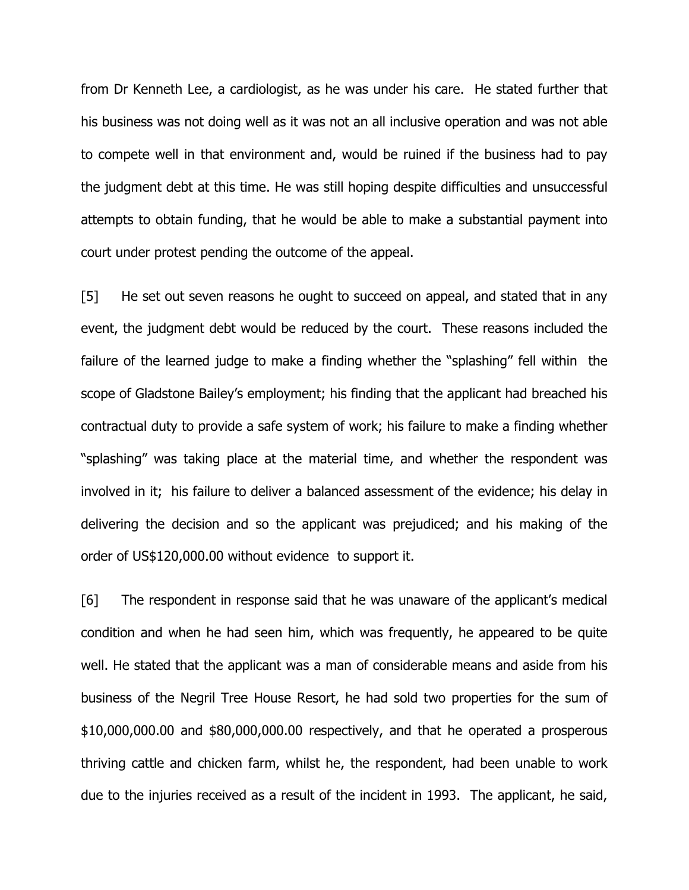from Dr Kenneth Lee, a cardiologist, as he was under his care. He stated further that his business was not doing well as it was not an all inclusive operation and was not able to compete well in that environment and, would be ruined if the business had to pay the judgment debt at this time. He was still hoping despite difficulties and unsuccessful attempts to obtain funding, that he would be able to make a substantial payment into court under protest pending the outcome of the appeal.

[5] He set out seven reasons he ought to succeed on appeal, and stated that in any event, the judgment debt would be reduced by the court. These reasons included the failure of the learned judge to make a finding whether the "splashing" fell within the scope of Gladstone Bailey's employment; his finding that the applicant had breached his contractual duty to provide a safe system of work; his failure to make a finding whether "splashing" was taking place at the material time, and whether the respondent was involved in it; his failure to deliver a balanced assessment of the evidence; his delay in delivering the decision and so the applicant was prejudiced; and his making of the order of US\$120,000.00 without evidence to support it.

[6] The respondent in response said that he was unaware of the applicant's medical condition and when he had seen him, which was frequently, he appeared to be quite well. He stated that the applicant was a man of considerable means and aside from his business of the Negril Tree House Resort, he had sold two properties for the sum of \$10,000,000.00 and \$80,000,000.00 respectively, and that he operated a prosperous thriving cattle and chicken farm, whilst he, the respondent, had been unable to work due to the injuries received as a result of the incident in 1993. The applicant, he said,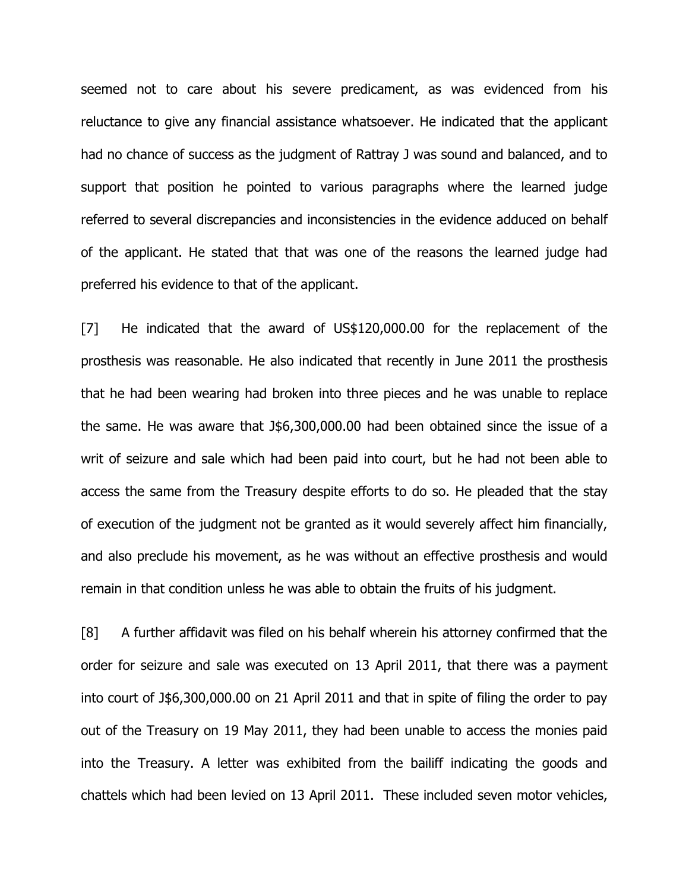seemed not to care about his severe predicament, as was evidenced from his reluctance to give any financial assistance whatsoever. He indicated that the applicant had no chance of success as the judgment of Rattray J was sound and balanced, and to support that position he pointed to various paragraphs where the learned judge referred to several discrepancies and inconsistencies in the evidence adduced on behalf of the applicant. He stated that that was one of the reasons the learned judge had preferred his evidence to that of the applicant.

[7] He indicated that the award of US\$120,000.00 for the replacement of the prosthesis was reasonable. He also indicated that recently in June 2011 the prosthesis that he had been wearing had broken into three pieces and he was unable to replace the same. He was aware that J\$6,300,000.00 had been obtained since the issue of a writ of seizure and sale which had been paid into court, but he had not been able to access the same from the Treasury despite efforts to do so. He pleaded that the stay of execution of the judgment not be granted as it would severely affect him financially, and also preclude his movement, as he was without an effective prosthesis and would remain in that condition unless he was able to obtain the fruits of his judgment.

[8] A further affidavit was filed on his behalf wherein his attorney confirmed that the order for seizure and sale was executed on 13 April 2011, that there was a payment into court of J\$6,300,000.00 on 21 April 2011 and that in spite of filing the order to pay out of the Treasury on 19 May 2011, they had been unable to access the monies paid into the Treasury. A letter was exhibited from the bailiff indicating the goods and chattels which had been levied on 13 April 2011. These included seven motor vehicles,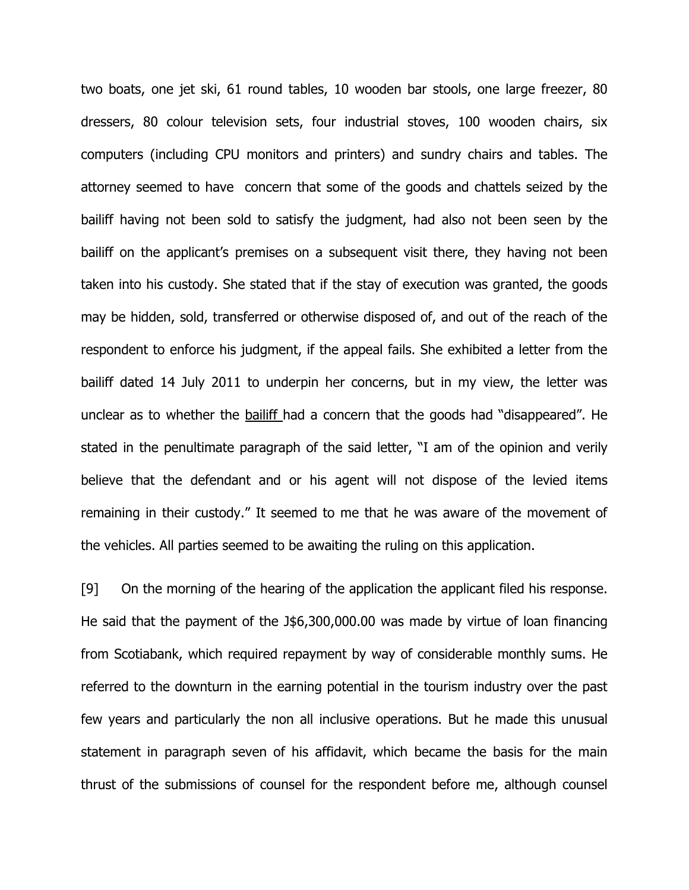two boats, one jet ski, 61 round tables, 10 wooden bar stools, one large freezer, 80 dressers, 80 colour television sets, four industrial stoves, 100 wooden chairs, six computers (including CPU monitors and printers) and sundry chairs and tables. The attorney seemed to have concern that some of the goods and chattels seized by the bailiff having not been sold to satisfy the judgment, had also not been seen by the bailiff on the applicant's premises on a subsequent visit there, they having not been taken into his custody. She stated that if the stay of execution was granted, the goods may be hidden, sold, transferred or otherwise disposed of, and out of the reach of the respondent to enforce his judgment, if the appeal fails. She exhibited a letter from the bailiff dated 14 July 2011 to underpin her concerns, but in my view, the letter was unclear as to whether the bailiff had a concern that the goods had "disappeared". He stated in the penultimate paragraph of the said letter, "I am of the opinion and verily believe that the defendant and or his agent will not dispose of the levied items remaining in their custody." It seemed to me that he was aware of the movement of the vehicles. All parties seemed to be awaiting the ruling on this application.

[9] On the morning of the hearing of the application the applicant filed his response. He said that the payment of the J\$6,300,000.00 was made by virtue of loan financing from Scotiabank, which required repayment by way of considerable monthly sums. He referred to the downturn in the earning potential in the tourism industry over the past few years and particularly the non all inclusive operations. But he made this unusual statement in paragraph seven of his affidavit, which became the basis for the main thrust of the submissions of counsel for the respondent before me, although counsel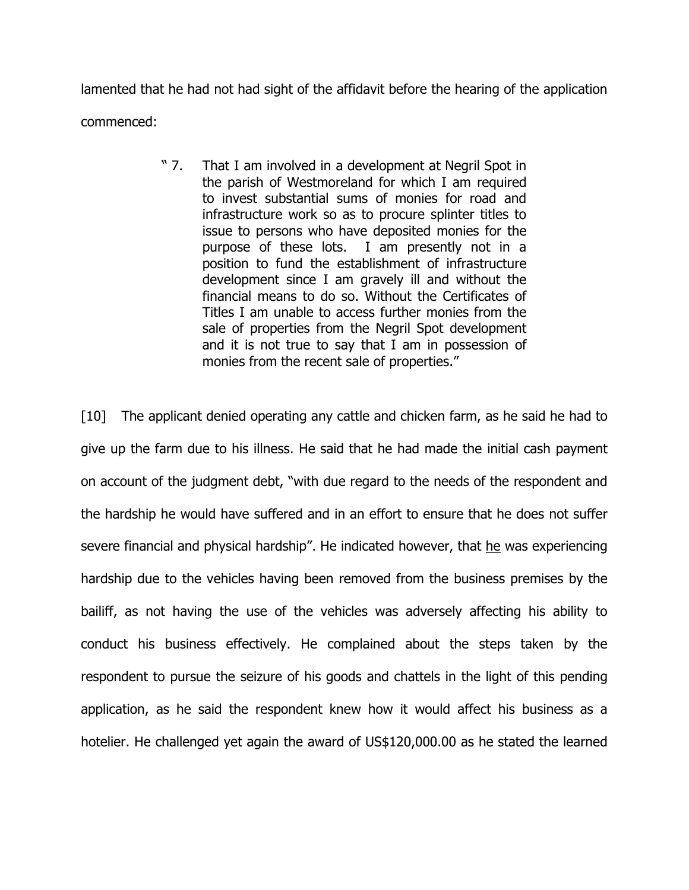lamented that he had not had sight of the affidavit before the hearing of the application commenced:

> " 7. That I am involved in a development at Negril Spot in the parish of Westmoreland for which I am required to invest substantial sums of monies for road and infrastructure work so as to procure splinter titles to issue to persons who have deposited monies for the purpose of these lots. I am presently not in a position to fund the establishment of infrastructure development since I am gravely ill and without the financial means to do so. Without the Certificates of Titles I am unable to access further monies from the sale of properties from the Negril Spot development and it is not true to say that I am in possession of monies from the recent sale of properties."

[10] The applicant denied operating any cattle and chicken farm, as he said he had to give up the farm due to his illness. He said that he had made the initial cash payment on account of the judgment debt, "with due regard to the needs of the respondent and the hardship he would have suffered and in an effort to ensure that he does not suffer severe financial and physical hardship". He indicated however, that he was experiencing hardship due to the vehicles having been removed from the business premises by the bailiff, as not having the use of the vehicles was adversely affecting his ability to conduct his business effectively. He complained about the steps taken by the respondent to pursue the seizure of his goods and chattels in the light of this pending application, as he said the respondent knew how it would affect his business as a hotelier. He challenged yet again the award of US\$120,000.00 as he stated the learned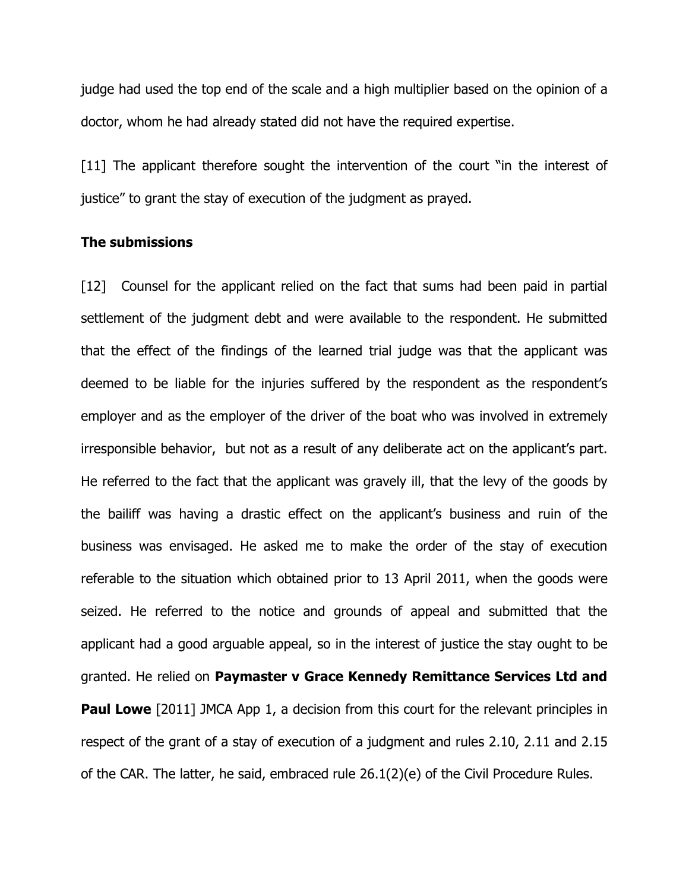judge had used the top end of the scale and a high multiplier based on the opinion of a doctor, whom he had already stated did not have the required expertise.

[11] The applicant therefore sought the intervention of the court "in the interest of justice" to grant the stay of execution of the judgment as prayed.

# The submissions

[12] Counsel for the applicant relied on the fact that sums had been paid in partial settlement of the judgment debt and were available to the respondent. He submitted that the effect of the findings of the learned trial judge was that the applicant was deemed to be liable for the injuries suffered by the respondent as the respondent's employer and as the employer of the driver of the boat who was involved in extremely irresponsible behavior, but not as a result of any deliberate act on the applicant's part. He referred to the fact that the applicant was gravely ill, that the levy of the goods by the bailiff was having a drastic effect on the applicant's business and ruin of the business was envisaged. He asked me to make the order of the stay of execution referable to the situation which obtained prior to 13 April 2011, when the goods were seized. He referred to the notice and grounds of appeal and submitted that the applicant had a good arguable appeal, so in the interest of justice the stay ought to be granted. He relied on Paymaster v Grace Kennedy Remittance Services Ltd and **Paul Lowe** [2011] JMCA App 1, a decision from this court for the relevant principles in respect of the grant of a stay of execution of a judgment and rules 2.10, 2.11 and 2.15 of the CAR. The latter, he said, embraced rule 26.1(2)(e) of the Civil Procedure Rules.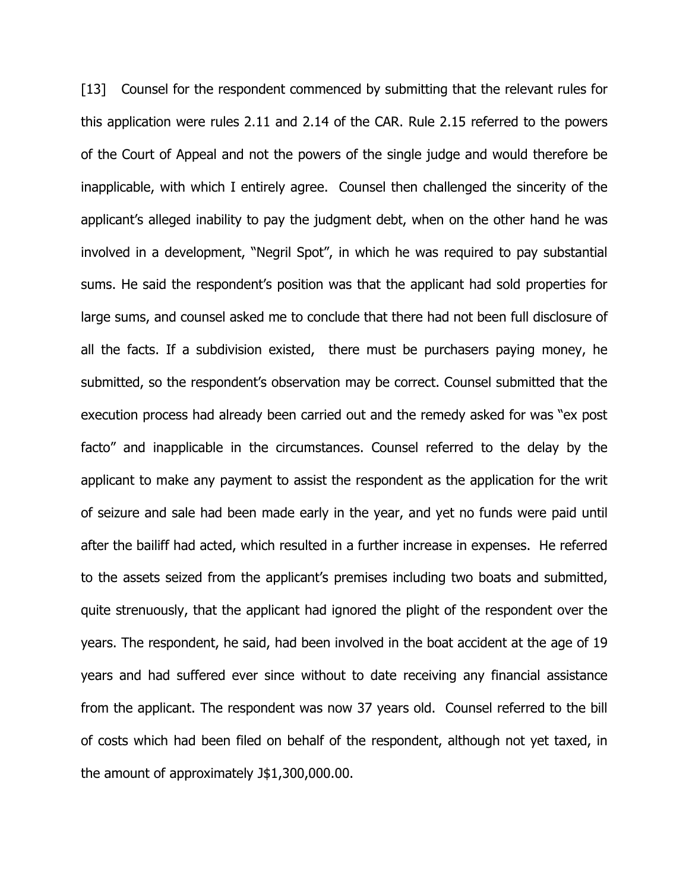[13] Counsel for the respondent commenced by submitting that the relevant rules for this application were rules 2.11 and 2.14 of the CAR. Rule 2.15 referred to the powers of the Court of Appeal and not the powers of the single judge and would therefore be inapplicable, with which I entirely agree. Counsel then challenged the sincerity of the applicant's alleged inability to pay the judgment debt, when on the other hand he was involved in a development, "Negril Spot", in which he was required to pay substantial sums. He said the respondent's position was that the applicant had sold properties for large sums, and counsel asked me to conclude that there had not been full disclosure of all the facts. If a subdivision existed, there must be purchasers paying money, he submitted, so the respondent's observation may be correct. Counsel submitted that the execution process had already been carried out and the remedy asked for was "ex post facto" and inapplicable in the circumstances. Counsel referred to the delay by the applicant to make any payment to assist the respondent as the application for the writ of seizure and sale had been made early in the year, and yet no funds were paid until after the bailiff had acted, which resulted in a further increase in expenses. He referred to the assets seized from the applicant's premises including two boats and submitted, quite strenuously, that the applicant had ignored the plight of the respondent over the years. The respondent, he said, had been involved in the boat accident at the age of 19 years and had suffered ever since without to date receiving any financial assistance from the applicant. The respondent was now 37 years old. Counsel referred to the bill of costs which had been filed on behalf of the respondent, although not yet taxed, in the amount of approximately J\$1,300,000.00.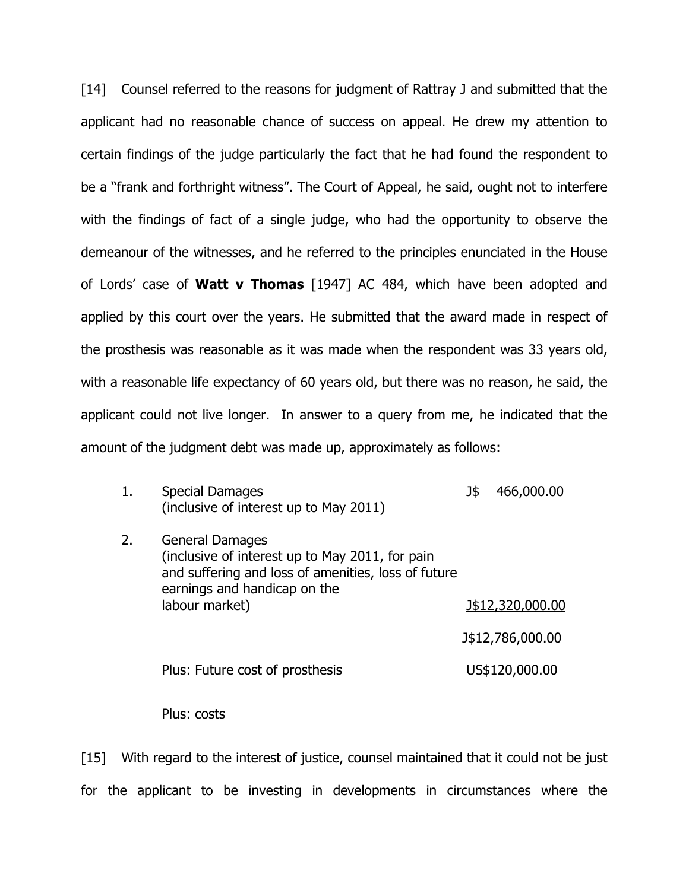[14] Counsel referred to the reasons for judgment of Rattray J and submitted that the applicant had no reasonable chance of success on appeal. He drew my attention to certain findings of the judge particularly the fact that he had found the respondent to be a "frank and forthright witness". The Court of Appeal, he said, ought not to interfere with the findings of fact of a single judge, who had the opportunity to observe the demeanour of the witnesses, and he referred to the principles enunciated in the House of Lords' case of **Watt v Thomas** [1947] AC 484, which have been adopted and applied by this court over the years. He submitted that the award made in respect of the prosthesis was reasonable as it was made when the respondent was 33 years old, with a reasonable life expectancy of 60 years old, but there was no reason, he said, the applicant could not live longer. In answer to a query from me, he indicated that the amount of the judgment debt was made up, approximately as follows:

| 1. | <b>Special Damages</b><br>(inclusive of interest up to May 2011)                                                                                                                   | J\$ | 466,000.00       |
|----|------------------------------------------------------------------------------------------------------------------------------------------------------------------------------------|-----|------------------|
| 2. | <b>General Damages</b><br>(inclusive of interest up to May 2011, for pain<br>and suffering and loss of amenities, loss of future<br>earnings and handicap on the<br>labour market) |     |                  |
|    |                                                                                                                                                                                    |     | J\$12,320,000.00 |
|    |                                                                                                                                                                                    |     | J\$12,786,000.00 |
|    | Plus: Future cost of prosthesis                                                                                                                                                    |     | US\$120,000.00   |

Plus: costs

[15] With regard to the interest of justice, counsel maintained that it could not be just for the applicant to be investing in developments in circumstances where the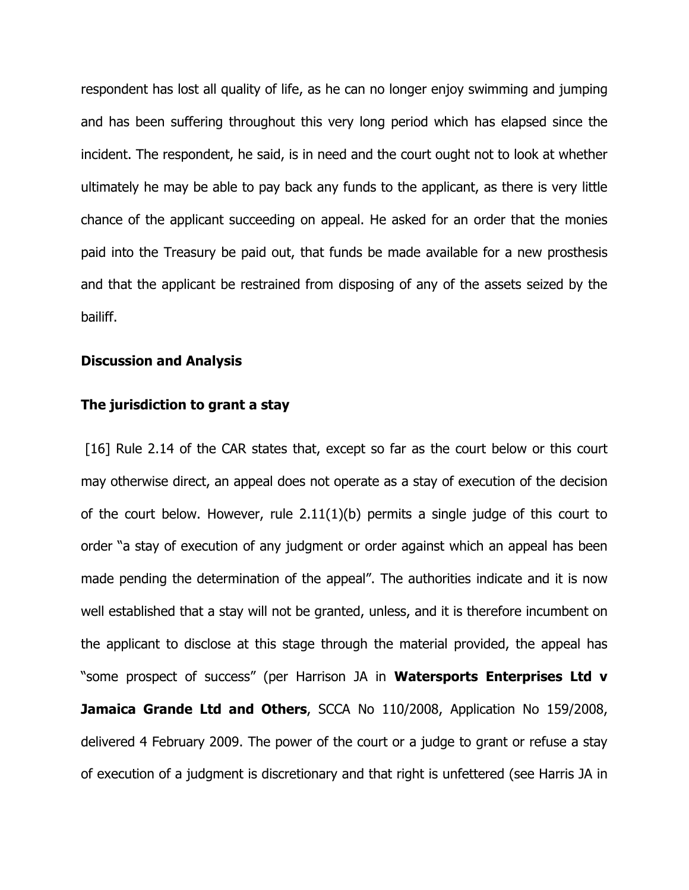respondent has lost all quality of life, as he can no longer enjoy swimming and jumping and has been suffering throughout this very long period which has elapsed since the incident. The respondent, he said, is in need and the court ought not to look at whether ultimately he may be able to pay back any funds to the applicant, as there is very little chance of the applicant succeeding on appeal. He asked for an order that the monies paid into the Treasury be paid out, that funds be made available for a new prosthesis and that the applicant be restrained from disposing of any of the assets seized by the bailiff.

#### Discussion and Analysis

#### The jurisdiction to grant a stay

[16] Rule 2.14 of the CAR states that, except so far as the court below or this court may otherwise direct, an appeal does not operate as a stay of execution of the decision of the court below. However, rule 2.11(1)(b) permits a single judge of this court to order "a stay of execution of any judgment or order against which an appeal has been made pending the determination of the appeal". The authorities indicate and it is now well established that a stay will not be granted, unless, and it is therefore incumbent on the applicant to disclose at this stage through the material provided, the appeal has "some prospect of success" (per Harrison JA in Watersports Enterprises Ltd v Jamaica Grande Ltd and Others, SCCA No 110/2008, Application No 159/2008, delivered 4 February 2009. The power of the court or a judge to grant or refuse a stay of execution of a judgment is discretionary and that right is unfettered (see Harris JA in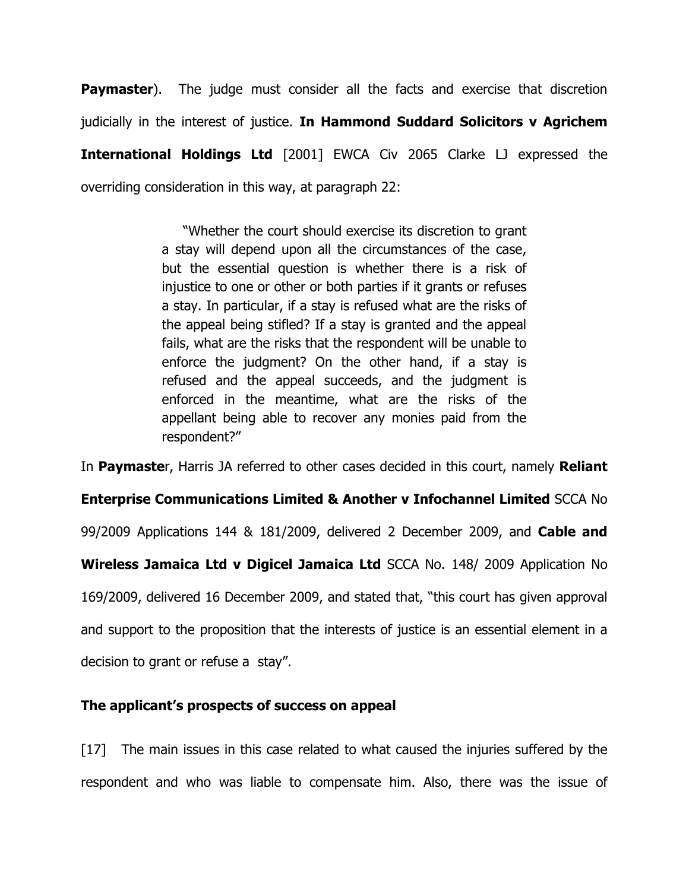**Paymaster**). The judge must consider all the facts and exercise that discretion judicially in the interest of justice. In Hammond Suddard Solicitors v Agrichem International Holdings Ltd [2001] EWCA Civ 2065 Clarke LJ expressed the overriding consideration in this way, at paragraph 22:

> "Whether the court should exercise its discretion to grant a stay will depend upon all the circumstances of the case, but the essential question is whether there is a risk of injustice to one or other or both parties if it grants or refuses a stay. In particular, if a stay is refused what are the risks of the appeal being stifled? If a stay is granted and the appeal fails, what are the risks that the respondent will be unable to enforce the judgment? On the other hand, if a stay is refused and the appeal succeeds, and the judgment is enforced in the meantime, what are the risks of the appellant being able to recover any monies paid from the respondent?"

In Paymaster, Harris JA referred to other cases decided in this court, namely Reliant Enterprise Communications Limited & Another v Infochannel Limited SCCA No 99/2009 Applications 144 & 181/2009, delivered 2 December 2009, and Cable and Wireless Jamaica Ltd v Digicel Jamaica Ltd SCCA No. 148/ 2009 Application No 169/2009, delivered 16 December 2009, and stated that, "this court has given approval and support to the proposition that the interests of justice is an essential element in a decision to grant or refuse a stay".

# The applicant's prospects of success on appeal

[17] The main issues in this case related to what caused the injuries suffered by the respondent and who was liable to compensate him. Also, there was the issue of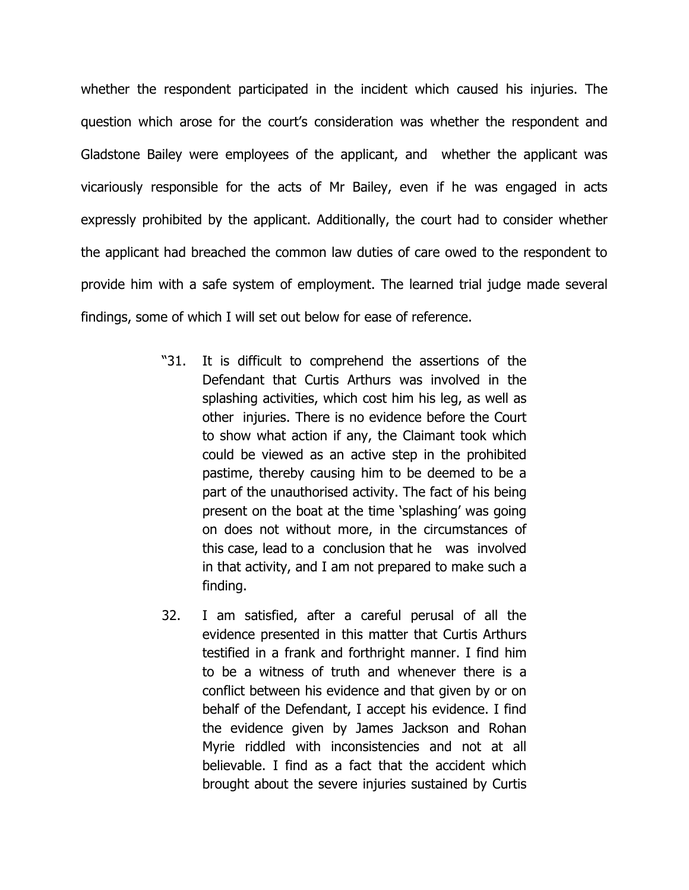whether the respondent participated in the incident which caused his injuries. The question which arose for the court's consideration was whether the respondent and Gladstone Bailey were employees of the applicant, and whether the applicant was vicariously responsible for the acts of Mr Bailey, even if he was engaged in acts expressly prohibited by the applicant. Additionally, the court had to consider whether the applicant had breached the common law duties of care owed to the respondent to provide him with a safe system of employment. The learned trial judge made several findings, some of which I will set out below for ease of reference.

- "31. It is difficult to comprehend the assertions of the Defendant that Curtis Arthurs was involved in the splashing activities, which cost him his leg, as well as other injuries. There is no evidence before the Court to show what action if any, the Claimant took which could be viewed as an active step in the prohibited pastime, thereby causing him to be deemed to be a part of the unauthorised activity. The fact of his being present on the boat at the time 'splashing' was going on does not without more, in the circumstances of this case, lead to a conclusion that he was involved in that activity, and I am not prepared to make such a finding.
- 32. I am satisfied, after a careful perusal of all the evidence presented in this matter that Curtis Arthurs testified in a frank and forthright manner. I find him to be a witness of truth and whenever there is a conflict between his evidence and that given by or on behalf of the Defendant, I accept his evidence. I find the evidence given by James Jackson and Rohan Myrie riddled with inconsistencies and not at all believable. I find as a fact that the accident which brought about the severe injuries sustained by Curtis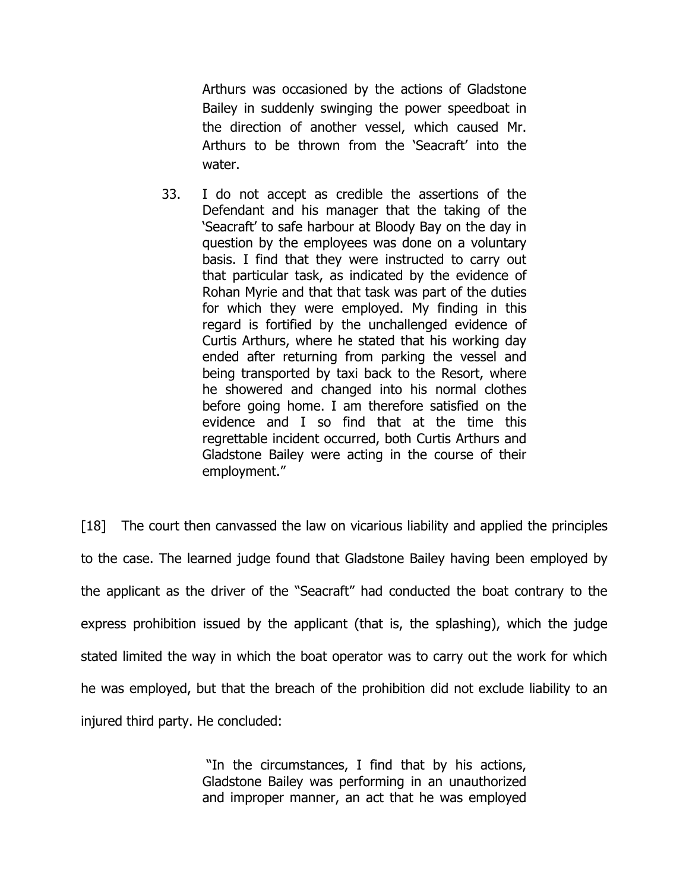Arthurs was occasioned by the actions of Gladstone Bailey in suddenly swinging the power speedboat in the direction of another vessel, which caused Mr. Arthurs to be thrown from the 'Seacraft' into the water.

33. I do not accept as credible the assertions of the Defendant and his manager that the taking of the 'Seacraft' to safe harbour at Bloody Bay on the day in question by the employees was done on a voluntary basis. I find that they were instructed to carry out that particular task, as indicated by the evidence of Rohan Myrie and that that task was part of the duties for which they were employed. My finding in this regard is fortified by the unchallenged evidence of Curtis Arthurs, where he stated that his working day ended after returning from parking the vessel and being transported by taxi back to the Resort, where he showered and changed into his normal clothes before going home. I am therefore satisfied on the evidence and I so find that at the time this regrettable incident occurred, both Curtis Arthurs and Gladstone Bailey were acting in the course of their employment."

[18] The court then canvassed the law on vicarious liability and applied the principles to the case. The learned judge found that Gladstone Bailey having been employed by the applicant as the driver of the "Seacraft" had conducted the boat contrary to the express prohibition issued by the applicant (that is, the splashing), which the judge stated limited the way in which the boat operator was to carry out the work for which he was employed, but that the breach of the prohibition did not exclude liability to an injured third party. He concluded:

> "In the circumstances, I find that by his actions, Gladstone Bailey was performing in an unauthorized and improper manner, an act that he was employed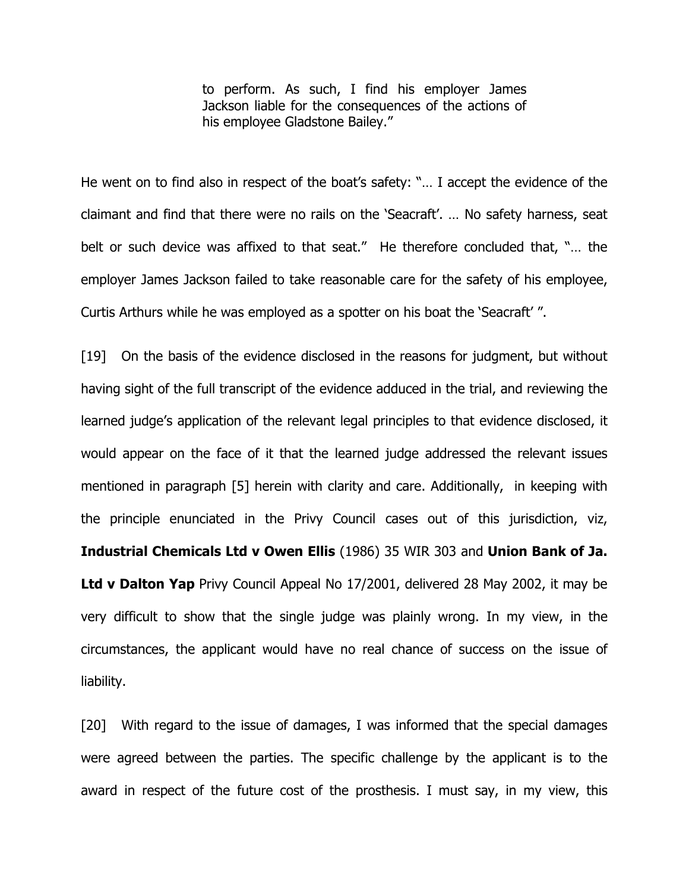to perform. As such, I find his employer James Jackson liable for the consequences of the actions of his employee Gladstone Bailey."

He went on to find also in respect of the boat's safety: "… I accept the evidence of the claimant and find that there were no rails on the 'Seacraft'. … No safety harness, seat belt or such device was affixed to that seat." He therefore concluded that, "… the employer James Jackson failed to take reasonable care for the safety of his employee, Curtis Arthurs while he was employed as a spotter on his boat the 'Seacraft' ".

[19] On the basis of the evidence disclosed in the reasons for judgment, but without having sight of the full transcript of the evidence adduced in the trial, and reviewing the learned judge's application of the relevant legal principles to that evidence disclosed, it would appear on the face of it that the learned judge addressed the relevant issues mentioned in paragraph [5] herein with clarity and care. Additionally, in keeping with the principle enunciated in the Privy Council cases out of this jurisdiction, viz, Industrial Chemicals Ltd v Owen Ellis (1986) 35 WIR 303 and Union Bank of Ja. Ltd v Dalton Yap Privy Council Appeal No 17/2001, delivered 28 May 2002, it may be very difficult to show that the single judge was plainly wrong. In my view, in the circumstances, the applicant would have no real chance of success on the issue of liability.

[20] With regard to the issue of damages, I was informed that the special damages were agreed between the parties. The specific challenge by the applicant is to the award in respect of the future cost of the prosthesis. I must say, in my view, this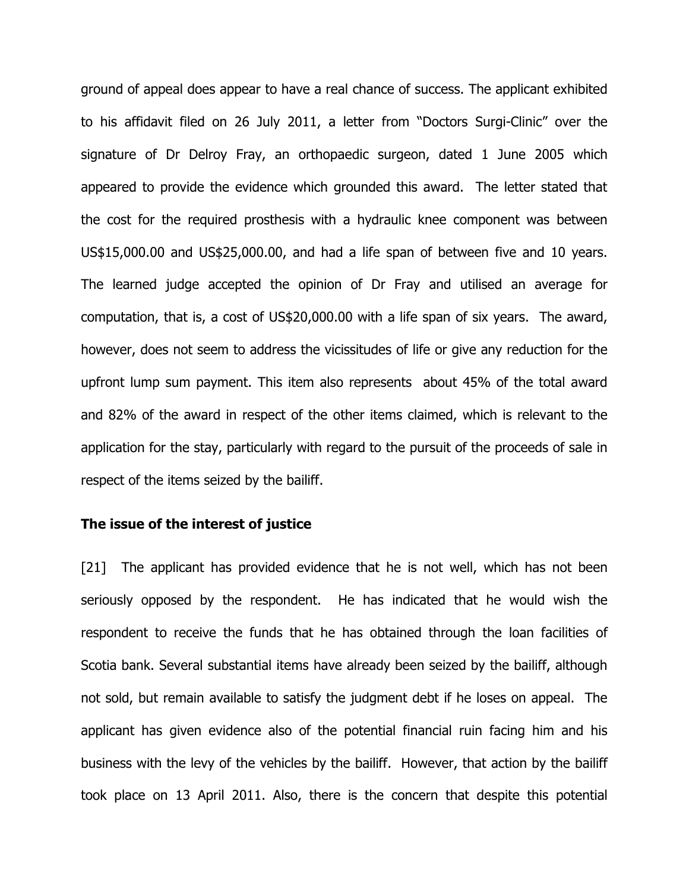ground of appeal does appear to have a real chance of success. The applicant exhibited to his affidavit filed on 26 July 2011, a letter from "Doctors Surgi-Clinic" over the signature of Dr Delroy Fray, an orthopaedic surgeon, dated 1 June 2005 which appeared to provide the evidence which grounded this award. The letter stated that the cost for the required prosthesis with a hydraulic knee component was between US\$15,000.00 and US\$25,000.00, and had a life span of between five and 10 years. The learned judge accepted the opinion of Dr Fray and utilised an average for computation, that is, a cost of US\$20,000.00 with a life span of six years. The award, however, does not seem to address the vicissitudes of life or give any reduction for the upfront lump sum payment. This item also represents about 45% of the total award and 82% of the award in respect of the other items claimed, which is relevant to the application for the stay, particularly with regard to the pursuit of the proceeds of sale in respect of the items seized by the bailiff.

#### The issue of the interest of justice

[21] The applicant has provided evidence that he is not well, which has not been seriously opposed by the respondent. He has indicated that he would wish the respondent to receive the funds that he has obtained through the loan facilities of Scotia bank. Several substantial items have already been seized by the bailiff, although not sold, but remain available to satisfy the judgment debt if he loses on appeal. The applicant has given evidence also of the potential financial ruin facing him and his business with the levy of the vehicles by the bailiff. However, that action by the bailiff took place on 13 April 2011. Also, there is the concern that despite this potential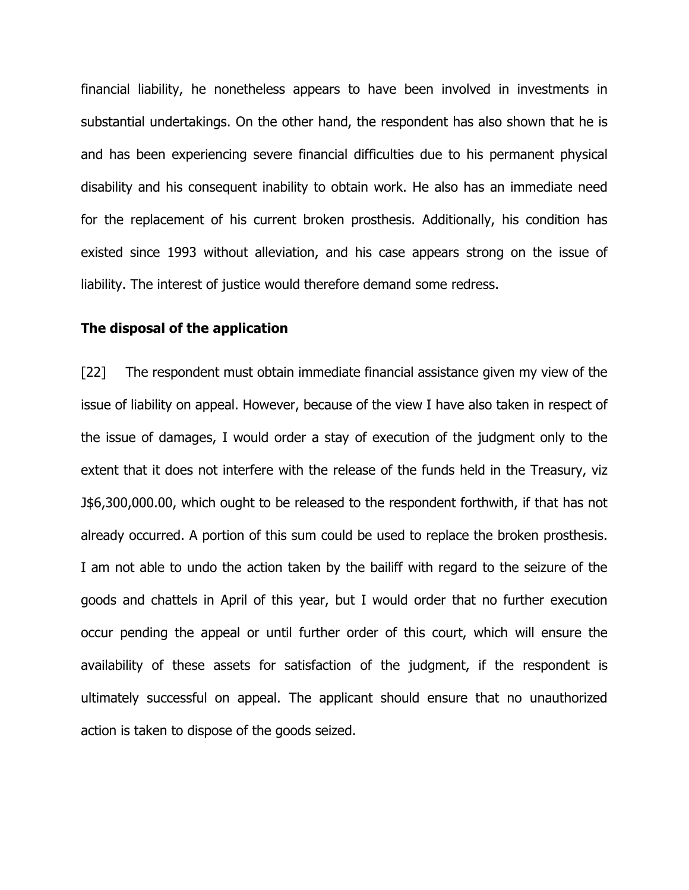financial liability, he nonetheless appears to have been involved in investments in substantial undertakings. On the other hand, the respondent has also shown that he is and has been experiencing severe financial difficulties due to his permanent physical disability and his consequent inability to obtain work. He also has an immediate need for the replacement of his current broken prosthesis. Additionally, his condition has existed since 1993 without alleviation, and his case appears strong on the issue of liability. The interest of justice would therefore demand some redress.

### The disposal of the application

[22] The respondent must obtain immediate financial assistance given my view of the issue of liability on appeal. However, because of the view I have also taken in respect of the issue of damages, I would order a stay of execution of the judgment only to the extent that it does not interfere with the release of the funds held in the Treasury, viz J\$6,300,000.00, which ought to be released to the respondent forthwith, if that has not already occurred. A portion of this sum could be used to replace the broken prosthesis. I am not able to undo the action taken by the bailiff with regard to the seizure of the goods and chattels in April of this year, but I would order that no further execution occur pending the appeal or until further order of this court, which will ensure the availability of these assets for satisfaction of the judgment, if the respondent is ultimately successful on appeal. The applicant should ensure that no unauthorized action is taken to dispose of the goods seized.